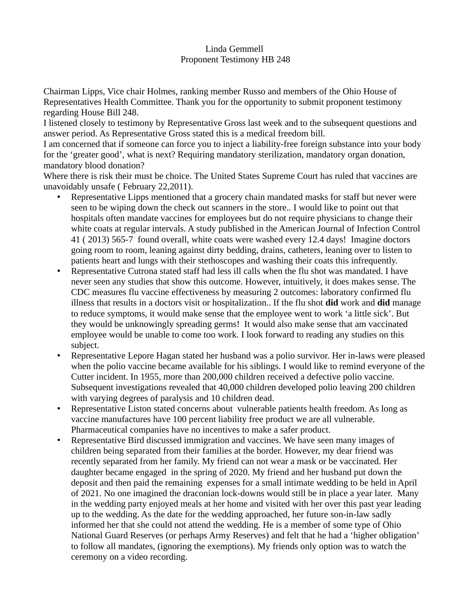## Linda Gemmell Proponent Testimony HB 248

Chairman Lipps, Vice chair Holmes, ranking member Russo and members of the Ohio House of Representatives Health Committee. Thank you for the opportunity to submit proponent testimony regarding House Bill 248.

I listened closely to testimony by Representative Gross last week and to the subsequent questions and answer period. As Representative Gross stated this is a medical freedom bill.

I am concerned that if someone can force you to inject a liability-free foreign substance into your body for the 'greater good', what is next? Requiring mandatory sterilization, mandatory organ donation, mandatory blood donation?

Where there is risk their must be choice. The United States Supreme Court has ruled that vaccines are unavoidably unsafe ( February 22,2011).

- Representative Lipps mentioned that a grocery chain mandated masks for staff but never were seen to be wiping down the check out scanners in the store.. I would like to point out that hospitals often mandate vaccines for employees but do not require physicians to change their white coats at regular intervals. A study published in the American Journal of Infection Control 41 ( 2013) 565-7 found overall, white coats were washed every 12.4 days! Imagine doctors going room to room, leaning against dirty bedding, drains, catheters, leaning over to listen to patients heart and lungs with their stethoscopes and washing their coats this infrequently.
- Representative Cutrona stated staff had less ill calls when the flu shot was mandated. I have never seen any studies that show this outcome. However, intuitively, it does makes sense. The CDC measures flu vaccine effectiveness by measuring 2 outcomes: laboratory confirmed flu illness that results in a doctors visit or hospitalization.. If the flu shot **did** work and **did** manage to reduce symptoms, it would make sense that the employee went to work 'a little sick'. But they would be unknowingly spreading germs! It would also make sense that am vaccinated employee would be unable to come too work. I look forward to reading any studies on this subject.
- Representative Lepore Hagan stated her husband was a polio survivor. Her in-laws were pleased when the polio vaccine became available for his siblings. I would like to remind everyone of the Cutter incident. In 1955, more than 200,000 children received a defective polio vaccine. Subsequent investigations revealed that 40,000 children developed polio leaving 200 children with varying degrees of paralysis and 10 children dead.
- Representative Liston stated concerns about vulnerable patients health freedom. As long as vaccine manufactures have 100 percent liability free product we are all vulnerable. Pharmaceutical companies have no incentives to make a safer product.
- Representative Bird discussed immigration and vaccines. We have seen many images of children being separated from their families at the border. However, my dear friend was recently separated from her family. My friend can not wear a mask or be vaccinated. Her daughter became engaged in the spring of 2020. My friend and her husband put down the deposit and then paid the remaining expenses for a small intimate wedding to be held in April of 2021. No one imagined the draconian lock-downs would still be in place a year later. Many in the wedding party enjoyed meals at her home and visited with her over this past year leading up to the wedding. As the date for the wedding approached, her future son-in-law sadly informed her that she could not attend the wedding. He is a member of some type of Ohio National Guard Reserves (or perhaps Army Reserves) and felt that he had a 'higher obligation' to follow all mandates, (ignoring the exemptions). My friends only option was to watch the ceremony on a video recording.